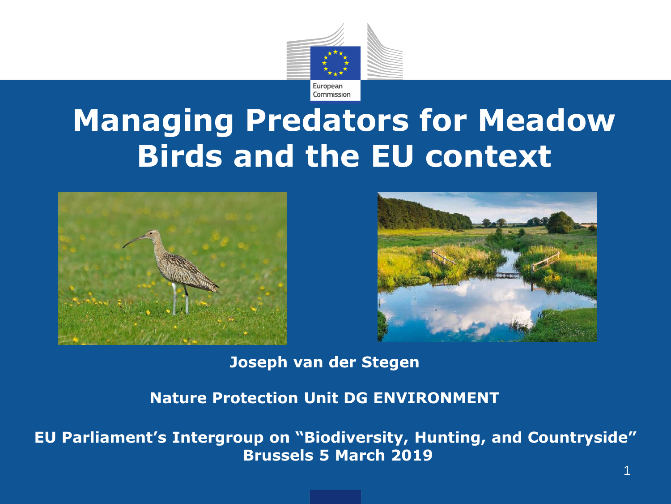

# **Managing Predators for Meadow Birds and the EU context**





**Joseph van der Stegen**

**Nature Protection Unit DG ENVIRONMENT**

**EU Parliament's Intergroup on "Biodiversity, Hunting, and Countryside" Brussels 5 March 2019**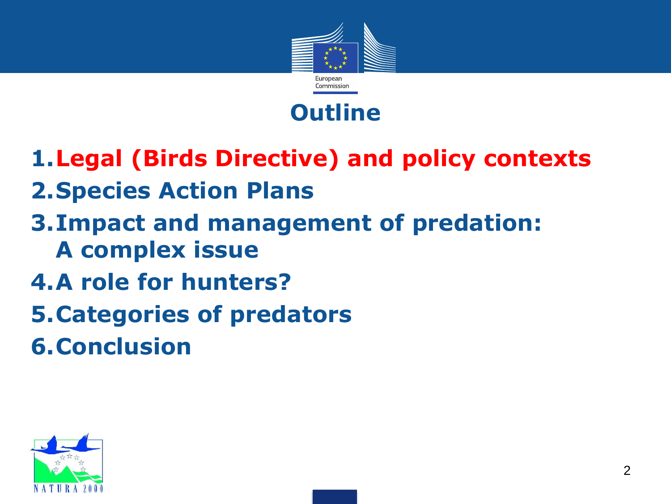



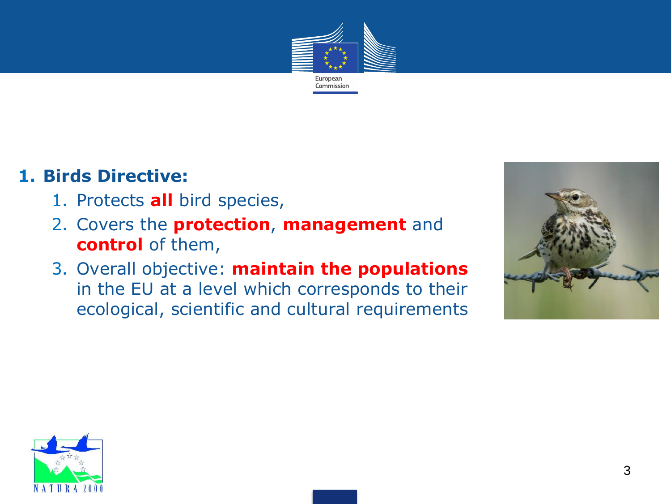

#### **1. Birds Directive:**

- 1. Protects **all** bird species,
- 2. Covers the **protection**, **management** and **control** of them,
- 3. Overall objective: **maintain the populations**  in the EU at a level which corresponds to their ecological, scientific and cultural requirements



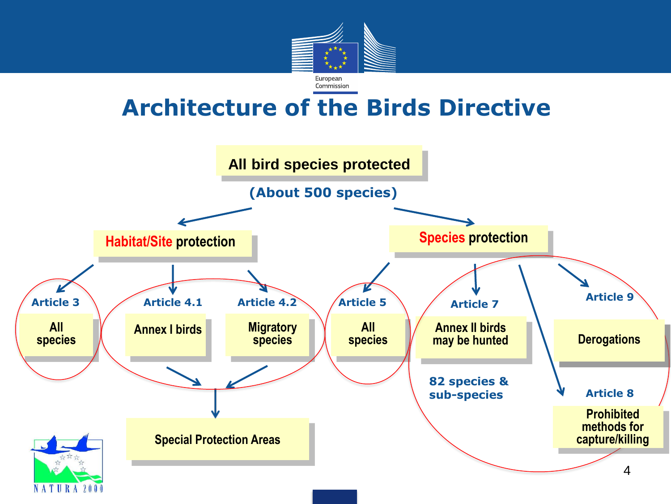

## **Architecture of the Birds Directive**

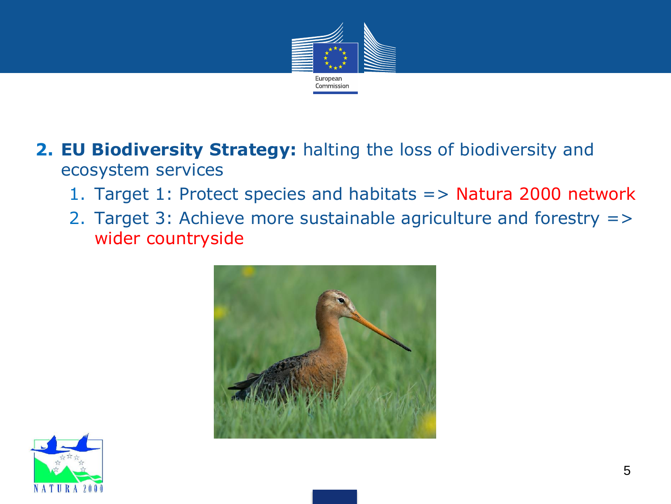

- **2. EU Biodiversity Strategy:** halting the loss of biodiversity and ecosystem services
	- 1. Target 1: Protect species and habitats => Natura 2000 network
	- 2. Target 3: Achieve more sustainable agriculture and forestry => wider countryside



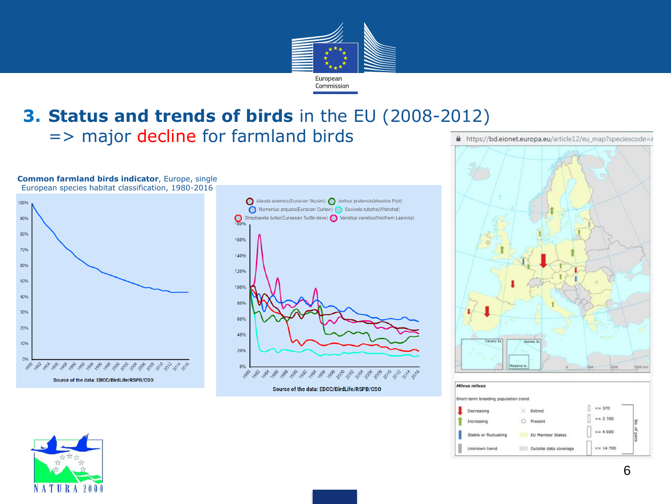

#### **3. Status and trends of birds** in the EU (2008-2012) => major decline for farmland birds

**Common farmland birds indicator**, Europe, single European species habitat classification, 1980-2016





Source of the data: EBCC/BirdLife/RSPB/CSO





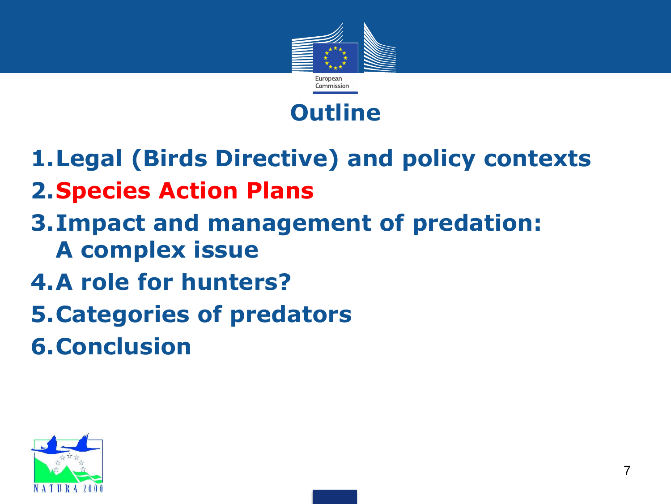



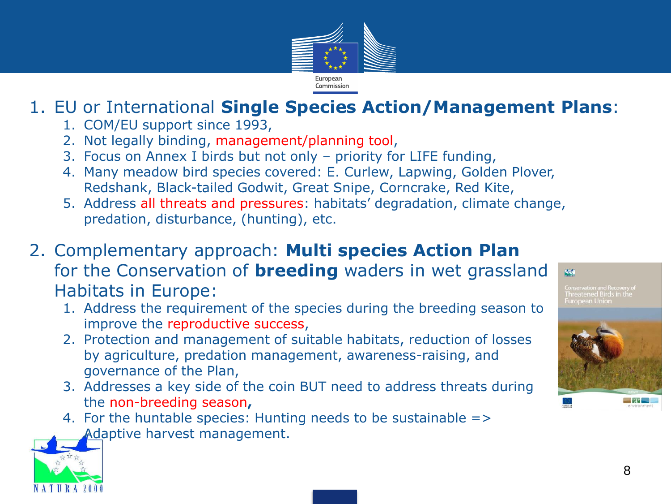

### 1. EU or International **Single Species Action/Management Plans**:

- 1. COM/EU support since 1993,
- 2. Not legally binding, management/planning tool,
- 3. Focus on Annex I birds but not only priority for LIFE funding,
- 4. Many meadow bird species covered: E. Curlew, Lapwing, Golden Plover, Redshank, Black-tailed Godwit, Great Snipe, Corncrake, Red Kite,
- 5. Address all threats and pressures: habitats' degradation, climate change, predation, disturbance, (hunting), etc.
- 2. Complementary approach: **Multi species Action Plan**  for the Conservation of **breeding** waders in wet grassland Habitats in Europe:
	- 1. Address the requirement of the species during the breeding season to improve the reproductive success,
	- 2. Protection and management of suitable habitats, reduction of losses by agriculture, predation management, awareness-raising, and governance of the Plan,
	- 3. Addresses a key side of the coin BUT need to address threats during the non-breeding season**,**
	- 4. For the huntable species: Hunting needs to be sustainable => Adaptive harvest management.



巅

Threatened Birds in the Furopean Union

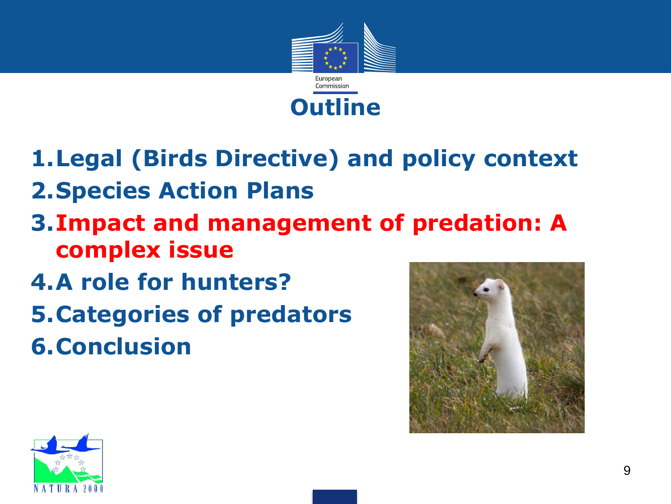

**1.Legal (Birds Directive) and policy context 2.Species Action Plans**

- **3.Impact and management of predation: A complex issue**
- **4.A role for hunters? 5.Categories of predators 6.Conclusion**



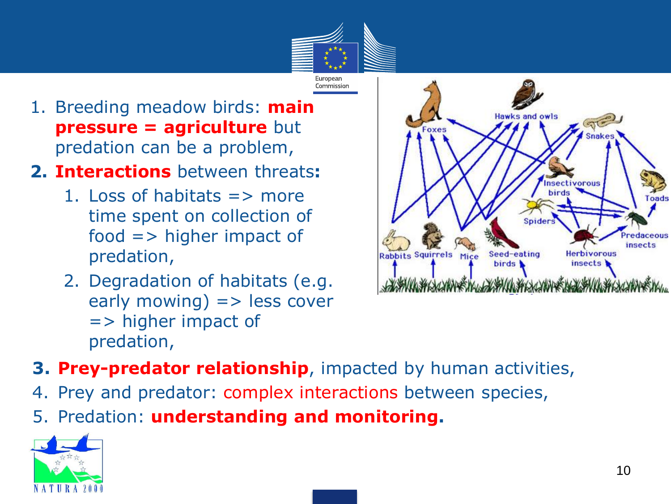

- 1. Breeding meadow birds: **main pressure = agriculture** but predation can be a problem,
- **2. Interactions** between threats**:**
	- 1. Loss of habitats  $\Rightarrow$  more time spent on collection of food => higher impact of predation,
	- 2. Degradation of habitats (e.g.  $early moving$ ) => less cover => higher impact of predation,



- **3. Prey-predator relationship**, impacted by human activities,
- 4. Prey and predator: complex interactions between species,
- 5. Predation: **understanding and monitoring.**

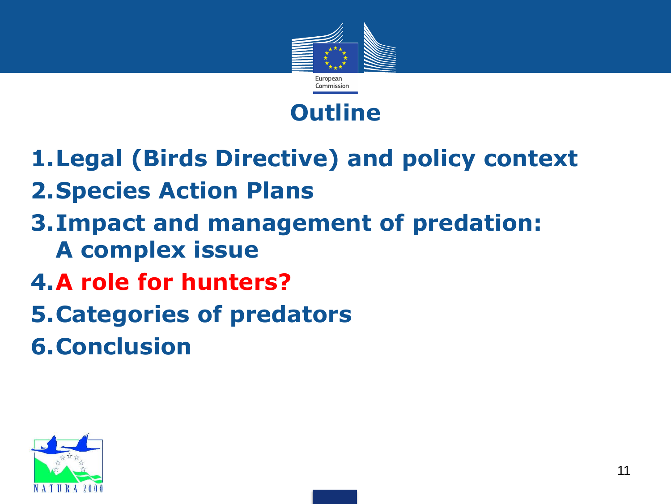



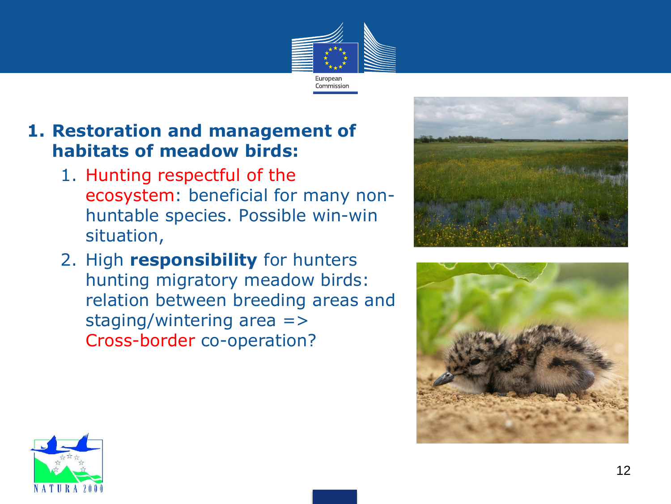

#### **1. Restoration and management of habitats of meadow birds:**

- 1. Hunting respectful of the ecosystem: beneficial for many nonhuntable species. Possible win-win situation,
- 2. High **responsibility** for hunters hunting migratory meadow birds: relation between breeding areas and staging/wintering area => Cross-border co-operation?





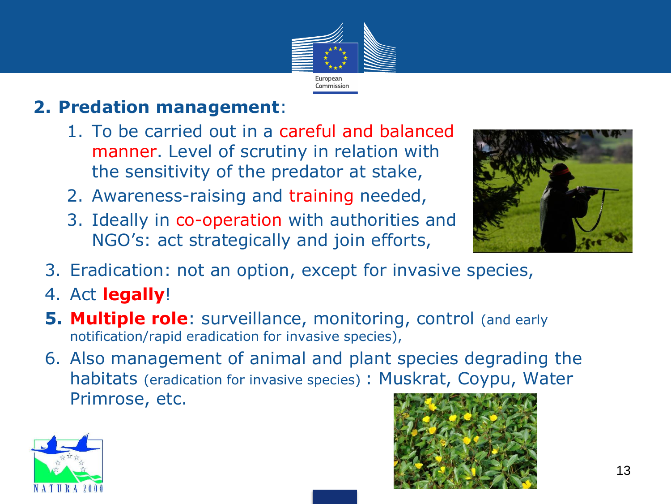

### **2. Predation management**:

- 1. To be carried out in a careful and balanced manner. Level of scrutiny in relation with the sensitivity of the predator at stake,
- 2. Awareness-raising and training needed,
- 3. Ideally in co-operation with authorities and NGO's: act strategically and join efforts,



- 3. Eradication: not an option, except for invasive species,
- 4. Act **legally**!
- **5. Multiple role**: surveillance, monitoring, control (and early notification/rapid eradication for invasive species),
- 6. Also management of animal and plant species degrading the habitats (eradication for invasive species) : Muskrat, Coypu, Water Primrose, etc.



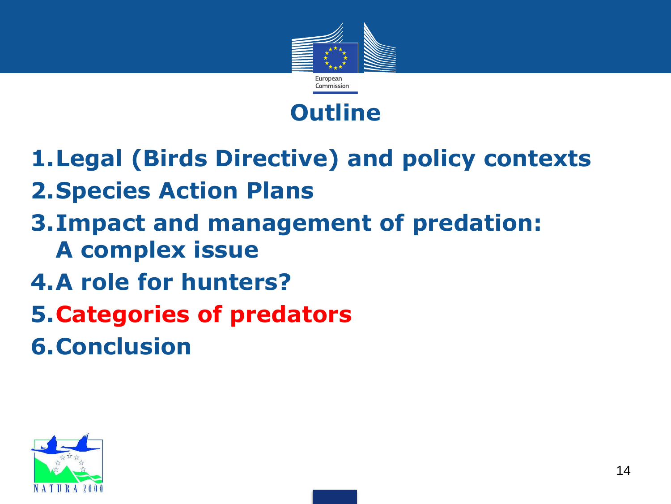



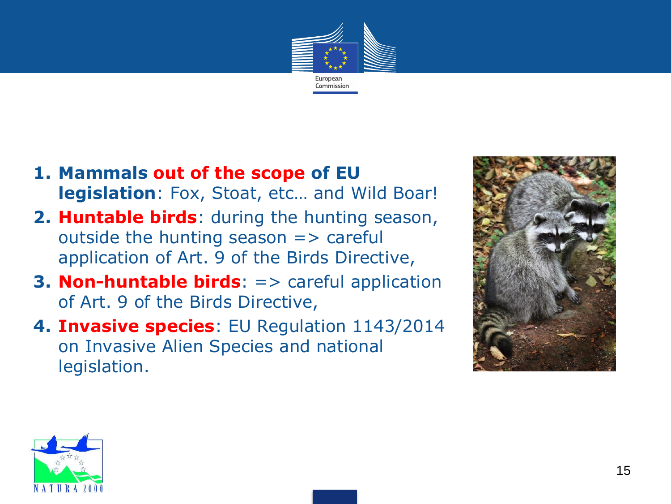

- **1. Mammals out of the scope of EU legislation**: Fox, Stoat, etc… and Wild Boar!
- **2. Huntable birds**: during the hunting season, outside the hunting season  $\Rightarrow$  careful application of Art. 9 of the Birds Directive,
- **3. Non-huntable birds**: => careful application of Art. 9 of the Birds Directive,
- **4. Invasive species**: EU Regulation 1143/2014 on Invasive Alien Species and national legislation.



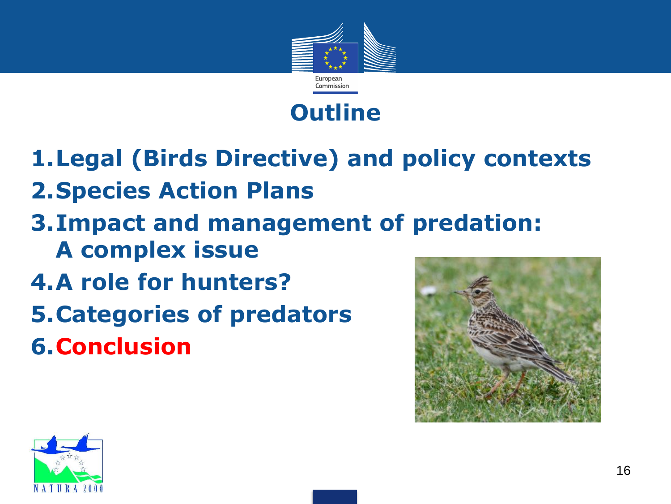





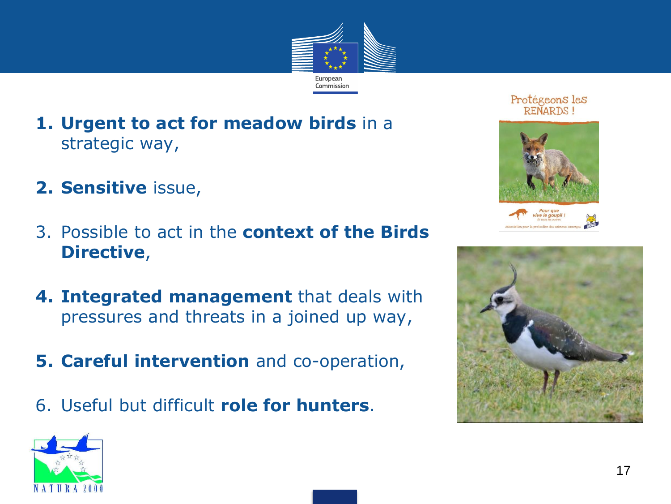

- **1. Urgent to act for meadow birds** in a strategic way,
- **2. Sensitive** issue,
- 3. Possible to act in the **context of the Birds Directive**,
- **4. Integrated management** that deals with pressures and threats in a joined up way,
- **5. Careful intervention** and co-operation,
- 6. Useful but difficult **role for hunters**.



Protégeons les